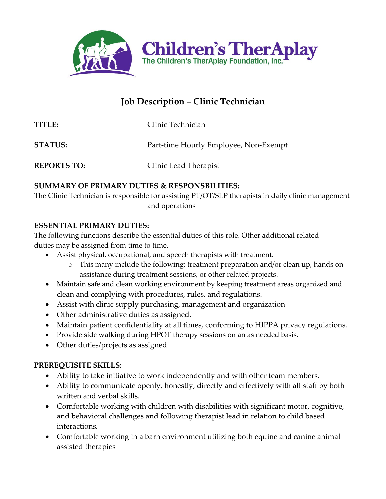

# **Job Description – Clinic Technician**

| <b>TITLE:</b>      | Clinic Technician                     |
|--------------------|---------------------------------------|
| <b>STATUS:</b>     | Part-time Hourly Employee, Non-Exempt |
| <b>REPORTS TO:</b> | Clinic Lead Therapist                 |

# **SUMMARY OF PRIMARY DUTIES & RESPONSBILITIES:**

The Clinic Technician is responsible for assisting PT/OT/SLP therapists in daily clinic management and operations

# **ESSENTIAL PRIMARY DUTIES:**

The following functions describe the essential duties of this role. Other additional related duties may be assigned from time to time.

- Assist physical, occupational, and speech therapists with treatment.
	- o This many include the following: treatment preparation and/or clean up, hands on assistance during treatment sessions, or other related projects.
- Maintain safe and clean working environment by keeping treatment areas organized and clean and complying with procedures, rules, and regulations.
- Assist with clinic supply purchasing, management and organization
- Other administrative duties as assigned.
- Maintain patient confidentiality at all times, conforming to HIPPA privacy regulations.
- Provide side walking during HPOT therapy sessions on an as needed basis.
- Other duties/projects as assigned.

### **PREREQUISITE SKILLS:**

- Ability to take initiative to work independently and with other team members.
- Ability to communicate openly, honestly, directly and effectively with all staff by both written and verbal skills.
- Comfortable working with children with disabilities with significant motor, cognitive, and behavioral challenges and following therapist lead in relation to child based interactions.
- Comfortable working in a barn environment utilizing both equine and canine animal assisted therapies